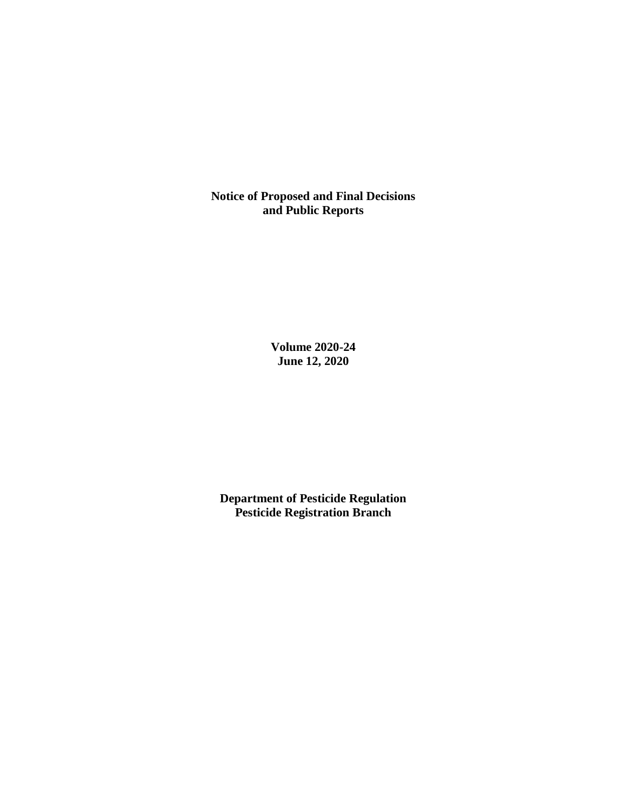**Notice of Proposed and Final Decisions and Public Reports**

> **Volume 2020-24 June 12, 2020**

**Department of Pesticide Regulation Pesticide Registration Branch**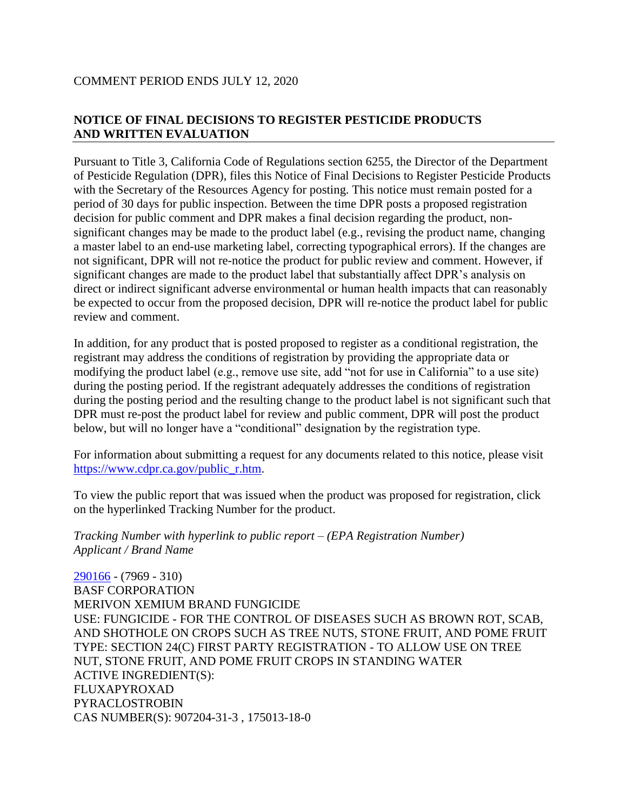# **NOTICE OF FINAL DECISIONS TO REGISTER PESTICIDE PRODUCTS AND WRITTEN EVALUATION**

Pursuant to Title 3, California Code of Regulations section 6255, the Director of the Department of Pesticide Regulation (DPR), files this Notice of Final Decisions to Register Pesticide Products with the Secretary of the Resources Agency for posting. This notice must remain posted for a period of 30 days for public inspection. Between the time DPR posts a proposed registration decision for public comment and DPR makes a final decision regarding the product, nonsignificant changes may be made to the product label (e.g., revising the product name, changing a master label to an end-use marketing label, correcting typographical errors). If the changes are not significant, DPR will not re-notice the product for public review and comment. However, if significant changes are made to the product label that substantially affect DPR's analysis on direct or indirect significant adverse environmental or human health impacts that can reasonably be expected to occur from the proposed decision, DPR will re-notice the product label for public review and comment.

In addition, for any product that is posted proposed to register as a conditional registration, the registrant may address the conditions of registration by providing the appropriate data or modifying the product label (e.g., remove use site, add "not for use in California" to a use site) during the posting period. If the registrant adequately addresses the conditions of registration during the posting period and the resulting change to the product label is not significant such that DPR must re-post the product label for review and public comment, DPR will post the product below, but will no longer have a "conditional" designation by the registration type.

For information about submitting a request for any documents related to this notice, please visit [https://www.cdpr.ca.gov/public\\_r.htm.](https://www.cdpr.ca.gov/public_r.htm)

To view the public report that was issued when the product was proposed for registration, click on the hyperlinked Tracking Number for the product.

*Tracking Number with hyperlink to public report – (EPA Registration Number) Applicant / Brand Name*

[290166](https://www.cdpr.ca.gov/docs/registration/nod/public_reports/290166.pdf) - (7969 - 310) BASF CORPORATION MERIVON XEMIUM BRAND FUNGICIDE USE: FUNGICIDE - FOR THE CONTROL OF DISEASES SUCH AS BROWN ROT, SCAB, AND SHOTHOLE ON CROPS SUCH AS TREE NUTS, STONE FRUIT, AND POME FRUIT TYPE: SECTION 24(C) FIRST PARTY REGISTRATION - TO ALLOW USE ON TREE NUT, STONE FRUIT, AND POME FRUIT CROPS IN STANDING WATER ACTIVE INGREDIENT(S): FLUXAPYROXAD PYRACLOSTROBIN CAS NUMBER(S): 907204-31-3 , 175013-18-0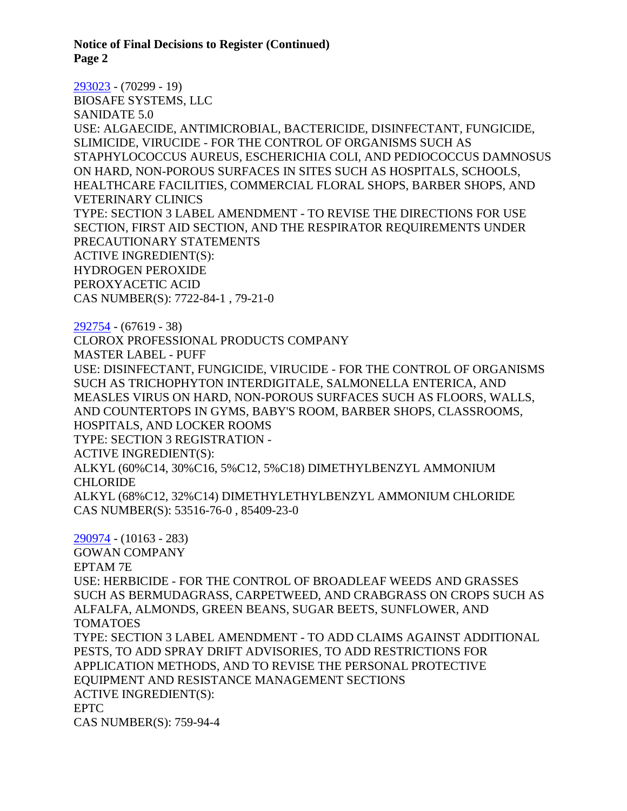**Notice of Final Decisions to Register (Continued) Page 2**

[293023](https://www.cdpr.ca.gov/docs/registration/nod/public_reports/293023.pdf) - (70299 - 19) BIOSAFE SYSTEMS, LLC SANIDATE 5.0 USE: ALGAECIDE, ANTIMICROBIAL, BACTERICIDE, DISINFECTANT, FUNGICIDE, SLIMICIDE, VIRUCIDE - FOR THE CONTROL OF ORGANISMS SUCH AS STAPHYLOCOCCUS AUREUS, ESCHERICHIA COLI, AND PEDIOCOCCUS DAMNOSUS ON HARD, NON-POROUS SURFACES IN SITES SUCH AS HOSPITALS, SCHOOLS, HEALTHCARE FACILITIES, COMMERCIAL FLORAL SHOPS, BARBER SHOPS, AND VETERINARY CLINICS TYPE: SECTION 3 LABEL AMENDMENT - TO REVISE THE DIRECTIONS FOR USE SECTION, FIRST AID SECTION, AND THE RESPIRATOR REQUIREMENTS UNDER PRECAUTIONARY STATEMENTS ACTIVE INGREDIENT(S): HYDROGEN PEROXIDE PEROXYACETIC ACID CAS NUMBER(S): 7722-84-1 , 79-21-0 [292754](https://www.cdpr.ca.gov/docs/registration/nod/public_reports/292754.pdf) - (67619 - 38) CLOROX PROFESSIONAL PRODUCTS COMPANY MASTER LABEL - PUFF USE: DISINFECTANT, FUNGICIDE, VIRUCIDE - FOR THE CONTROL OF ORGANISMS SUCH AS TRICHOPHYTON INTERDIGITALE, SALMONELLA ENTERICA, AND MEASLES VIRUS ON HARD, NON-POROUS SURFACES SUCH AS FLOORS, WALLS, AND COUNTERTOPS IN GYMS, BABY'S ROOM, BARBER SHOPS, CLASSROOMS, HOSPITALS, AND LOCKER ROOMS TYPE: SECTION 3 REGISTRATION - ACTIVE INGREDIENT(S): ALKYL (60%C14, 30%C16, 5%C12, 5%C18) DIMETHYLBENZYL AMMONIUM CHLORIDE ALKYL (68%C12, 32%C14) DIMETHYLETHYLBENZYL AMMONIUM CHLORIDE CAS NUMBER(S): 53516-76-0 , 85409-23-0 [290974](https://www.cdpr.ca.gov/docs/registration/nod/public_reports/290974.pdf) - (10163 - 283) GOWAN COMPANY EPTAM 7E USE: HERBICIDE - FOR THE CONTROL OF BROADLEAF WEEDS AND GRASSES SUCH AS BERMUDAGRASS, CARPETWEED, AND CRABGRASS ON CROPS SUCH AS ALFALFA, ALMONDS, GREEN BEANS, SUGAR BEETS, SUNFLOWER, AND TOMATOES TYPE: SECTION 3 LABEL AMENDMENT - TO ADD CLAIMS AGAINST ADDITIONAL PESTS, TO ADD SPRAY DRIFT ADVISORIES, TO ADD RESTRICTIONS FOR APPLICATION METHODS, AND TO REVISE THE PERSONAL PROTECTIVE EQUIPMENT AND RESISTANCE MANAGEMENT SECTIONS ACTIVE INGREDIENT(S): EPTC

CAS NUMBER(S): 759-94-4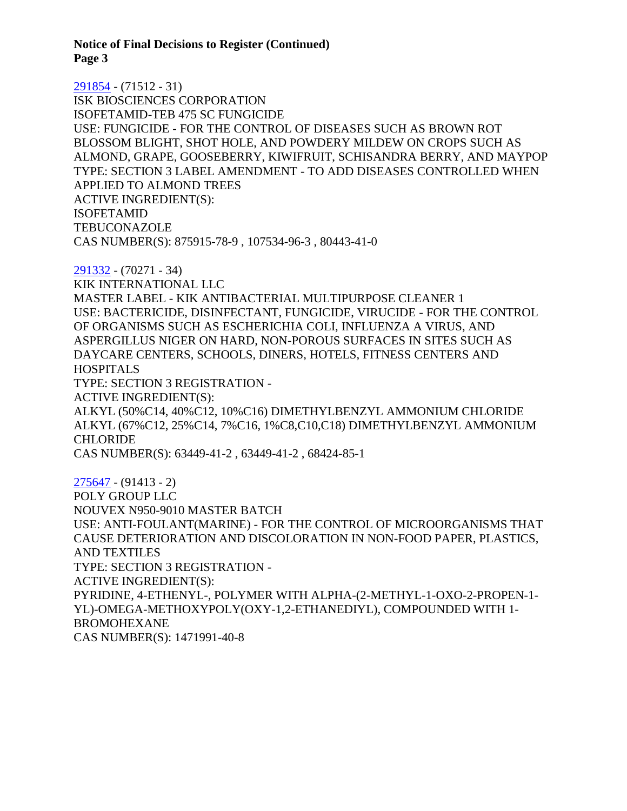**Notice of Final Decisions to Register (Continued) Page 3**

[291854](https://www.cdpr.ca.gov/docs/registration/nod/public_reports/291854.pdf) - (71512 - 31) ISK BIOSCIENCES CORPORATION ISOFETAMID-TEB 475 SC FUNGICIDE USE: FUNGICIDE - FOR THE CONTROL OF DISEASES SUCH AS BROWN ROT BLOSSOM BLIGHT, SHOT HOLE, AND POWDERY MILDEW ON CROPS SUCH AS ALMOND, GRAPE, GOOSEBERRY, KIWIFRUIT, SCHISANDRA BERRY, AND MAYPOP TYPE: SECTION 3 LABEL AMENDMENT - TO ADD DISEASES CONTROLLED WHEN APPLIED TO ALMOND TREES ACTIVE INGREDIENT(S): ISOFETAMID **TEBUCONAZOLE** CAS NUMBER(S): 875915-78-9 , 107534-96-3 , 80443-41-0

[291332](https://www.cdpr.ca.gov/docs/registration/nod/public_reports/291332.pdf) - (70271 - 34) KIK INTERNATIONAL LLC MASTER LABEL - KIK ANTIBACTERIAL MULTIPURPOSE CLEANER 1 USE: BACTERICIDE, DISINFECTANT, FUNGICIDE, VIRUCIDE - FOR THE CONTROL OF ORGANISMS SUCH AS ESCHERICHIA COLI, INFLUENZA A VIRUS, AND ASPERGILLUS NIGER ON HARD, NON-POROUS SURFACES IN SITES SUCH AS DAYCARE CENTERS, SCHOOLS, DINERS, HOTELS, FITNESS CENTERS AND **HOSPITALS** TYPE: SECTION 3 REGISTRATION - ACTIVE INGREDIENT(S): ALKYL (50%C14, 40%C12, 10%C16) DIMETHYLBENZYL AMMONIUM CHLORIDE ALKYL (67%C12, 25%C14, 7%C16, 1%C8,C10,C18) DIMETHYLBENZYL AMMONIUM CHLORIDE CAS NUMBER(S): 63449-41-2 , 63449-41-2 , 68424-85-1

[275647](https://www.cdpr.ca.gov/docs/registration/nod/public_reports/275647.pdf) - (91413 - 2) POLY GROUP LLC NOUVEX N950-9010 MASTER BATCH USE: ANTI-FOULANT(MARINE) - FOR THE CONTROL OF MICROORGANISMS THAT CAUSE DETERIORATION AND DISCOLORATION IN NON-FOOD PAPER, PLASTICS, AND TEXTILES TYPE: SECTION 3 REGISTRATION - ACTIVE INGREDIENT(S): PYRIDINE, 4-ETHENYL-, POLYMER WITH ALPHA-(2-METHYL-1-OXO-2-PROPEN-1- YL)-OMEGA-METHOXYPOLY(OXY-1,2-ETHANEDIYL), COMPOUNDED WITH 1- BROMOHEXANE CAS NUMBER(S): 1471991-40-8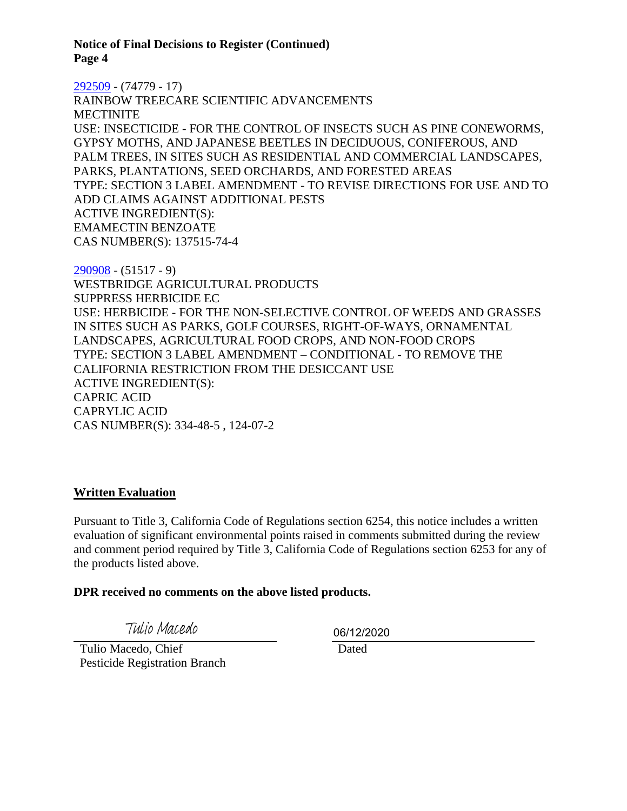**Notice of Final Decisions to Register (Continued) Page 4**

[292509](https://www.cdpr.ca.gov/docs/registration/nod/public_reports/292509.pdf) - (74779 - 17)

RAINBOW TREECARE SCIENTIFIC ADVANCEMENTS **MECTINITE** USE: INSECTICIDE - FOR THE CONTROL OF INSECTS SUCH AS PINE CONEWORMS, GYPSY MOTHS, AND JAPANESE BEETLES IN DECIDUOUS, CONIFEROUS, AND PALM TREES, IN SITES SUCH AS RESIDENTIAL AND COMMERCIAL LANDSCAPES, PARKS, PLANTATIONS, SEED ORCHARDS, AND FORESTED AREAS TYPE: SECTION 3 LABEL AMENDMENT - TO REVISE DIRECTIONS FOR USE AND TO ADD CLAIMS AGAINST ADDITIONAL PESTS ACTIVE INGREDIENT(S): EMAMECTIN BENZOATE CAS NUMBER(S): 137515-74-4

[290908](https://www.cdpr.ca.gov/docs/registration/nod/public_reports/290908.pdf) - (51517 - 9) WESTBRIDGE AGRICULTURAL PRODUCTS SUPPRESS HERBICIDE EC USE: HERBICIDE - FOR THE NON-SELECTIVE CONTROL OF WEEDS AND GRASSES IN SITES SUCH AS PARKS, GOLF COURSES, RIGHT-OF-WAYS, ORNAMENTAL LANDSCAPES, AGRICULTURAL FOOD CROPS, AND NON-FOOD CROPS TYPE: SECTION 3 LABEL AMENDMENT – CONDITIONAL - TO REMOVE THE CALIFORNIA RESTRICTION FROM THE DESICCANT USE ACTIVE INGREDIENT(S): CAPRIC ACID CAPRYLIC ACID CAS NUMBER(S): 334-48-5 , 124-07-2

# **Written Evaluation**

Pursuant to Title 3, California Code of Regulations section 6254, this notice includes a written evaluation of significant environmental points raised in comments submitted during the review and comment period required by Title 3, California Code of Regulations section 6253 for any of the products listed above.

#### **DPR received no comments on the above listed products.**

Tulio Macedo

 Tulio Macedo, Chief Pesticide Registration Branch 06/12/2020

Dated